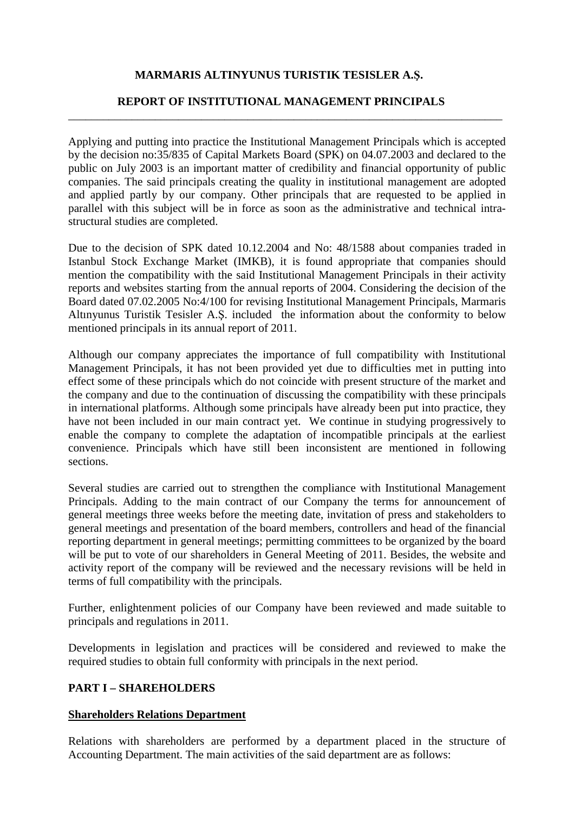# **MARMARIS ALTINYUNUS TURISTIK TESISLER A.Ş.**

### **REPORT OF INSTITUTIONAL MANAGEMENT PRINCIPALS**  \_\_\_\_\_\_\_\_\_\_\_\_\_\_\_\_\_\_\_\_\_\_\_\_\_\_\_\_\_\_\_\_\_\_\_\_\_\_\_\_\_\_\_\_\_\_\_\_\_\_\_\_\_\_\_\_\_\_\_\_\_\_\_\_\_\_\_\_\_\_\_\_\_\_\_

Applying and putting into practice the Institutional Management Principals which is accepted by the decision no:35/835 of Capital Markets Board (SPK) on 04.07.2003 and declared to the public on July 2003 is an important matter of credibility and financial opportunity of public companies. The said principals creating the quality in institutional management are adopted and applied partly by our company. Other principals that are requested to be applied in parallel with this subject will be in force as soon as the administrative and technical intrastructural studies are completed.

Due to the decision of SPK dated 10.12.2004 and No: 48/1588 about companies traded in Istanbul Stock Exchange Market (IMKB), it is found appropriate that companies should mention the compatibility with the said Institutional Management Principals in their activity reports and websites starting from the annual reports of 2004. Considering the decision of the Board dated 07.02.2005 No:4/100 for revising Institutional Management Principals, Marmaris Altınyunus Turistik Tesisler A.Ş. included the information about the conformity to below mentioned principals in its annual report of 2011.

Although our company appreciates the importance of full compatibility with Institutional Management Principals, it has not been provided yet due to difficulties met in putting into effect some of these principals which do not coincide with present structure of the market and the company and due to the continuation of discussing the compatibility with these principals in international platforms. Although some principals have already been put into practice, they have not been included in our main contract yet. We continue in studying progressively to enable the company to complete the adaptation of incompatible principals at the earliest convenience. Principals which have still been inconsistent are mentioned in following sections.

Several studies are carried out to strengthen the compliance with Institutional Management Principals. Adding to the main contract of our Company the terms for announcement of general meetings three weeks before the meeting date, invitation of press and stakeholders to general meetings and presentation of the board members, controllers and head of the financial reporting department in general meetings; permitting committees to be organized by the board will be put to vote of our shareholders in General Meeting of 2011. Besides, the website and activity report of the company will be reviewed and the necessary revisions will be held in terms of full compatibility with the principals.

Further, enlightenment policies of our Company have been reviewed and made suitable to principals and regulations in 2011.

Developments in legislation and practices will be considered and reviewed to make the required studies to obtain full conformity with principals in the next period.

# **PART I – SHAREHOLDERS**

#### **Shareholders Relations Department**

Relations with shareholders are performed by a department placed in the structure of Accounting Department. The main activities of the said department are as follows: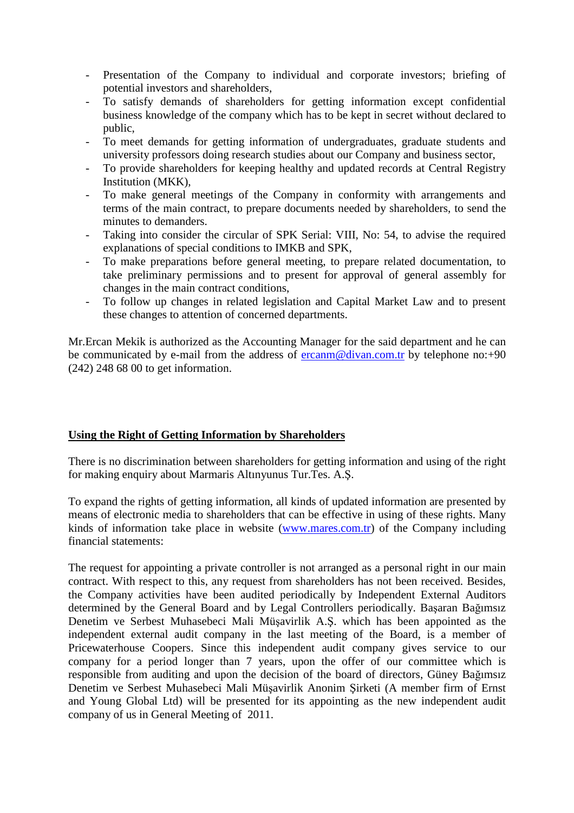- Presentation of the Company to individual and corporate investors; briefing of potential investors and shareholders,
- To satisfy demands of shareholders for getting information except confidential business knowledge of the company which has to be kept in secret without declared to public,
- To meet demands for getting information of undergraduates, graduate students and university professors doing research studies about our Company and business sector,
- To provide shareholders for keeping healthy and updated records at Central Registry Institution (MKK),
- To make general meetings of the Company in conformity with arrangements and terms of the main contract, to prepare documents needed by shareholders, to send the minutes to demanders.
- Taking into consider the circular of SPK Serial: VIII, No: 54, to advise the required explanations of special conditions to IMKB and SPK,
- To make preparations before general meeting, to prepare related documentation, to take preliminary permissions and to present for approval of general assembly for changes in the main contract conditions,
- To follow up changes in related legislation and Capital Market Law and to present these changes to attention of concerned departments.

Mr.Ercan Mekik is authorized as the Accounting Manager for the said department and he can be communicated by e-mail from the address of ercanm@divan.com.tr by telephone no: $+90$ (242) 248 68 00 to get information.

# **Using the Right of Getting Information by Shareholders**

There is no discrimination between shareholders for getting information and using of the right for making enquiry about Marmaris Altınyunus Tur.Tes. A.Ş.

To expand the rights of getting information, all kinds of updated information are presented by means of electronic media to shareholders that can be effective in using of these rights. Many kinds of information take place in website (www.mares.com.tr) of the Company including financial statements:

The request for appointing a private controller is not arranged as a personal right in our main contract. With respect to this, any request from shareholders has not been received. Besides, the Company activities have been audited periodically by Independent External Auditors determined by the General Board and by Legal Controllers periodically. Başaran Bağımsız Denetim ve Serbest Muhasebeci Mali Müşavirlik A.Ş. which has been appointed as the independent external audit company in the last meeting of the Board, is a member of Pricewaterhouse Coopers. Since this independent audit company gives service to our company for a period longer than 7 years, upon the offer of our committee which is responsible from auditing and upon the decision of the board of directors, Güney Bağımsız Denetim ve Serbest Muhasebeci Mali Müşavirlik Anonim Şirketi (A member firm of Ernst and Young Global Ltd) will be presented for its appointing as the new independent audit company of us in General Meeting of 2011.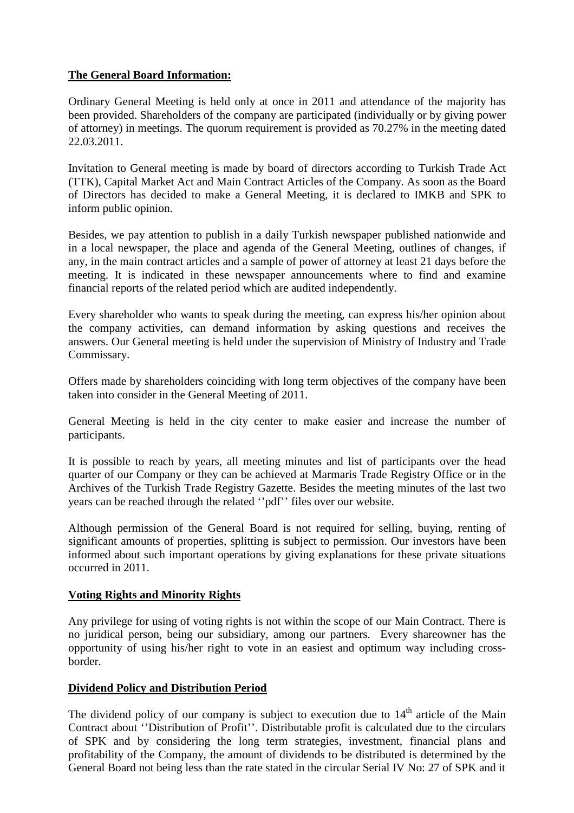# **The General Board Information:**

Ordinary General Meeting is held only at once in 2011 and attendance of the majority has been provided. Shareholders of the company are participated (individually or by giving power of attorney) in meetings. The quorum requirement is provided as 70.27% in the meeting dated 22.03.2011.

Invitation to General meeting is made by board of directors according to Turkish Trade Act (TTK), Capital Market Act and Main Contract Articles of the Company. As soon as the Board of Directors has decided to make a General Meeting, it is declared to IMKB and SPK to inform public opinion.

Besides, we pay attention to publish in a daily Turkish newspaper published nationwide and in a local newspaper, the place and agenda of the General Meeting, outlines of changes, if any, in the main contract articles and a sample of power of attorney at least 21 days before the meeting. It is indicated in these newspaper announcements where to find and examine financial reports of the related period which are audited independently.

Every shareholder who wants to speak during the meeting, can express his/her opinion about the company activities, can demand information by asking questions and receives the answers. Our General meeting is held under the supervision of Ministry of Industry and Trade Commissary.

Offers made by shareholders coinciding with long term objectives of the company have been taken into consider in the General Meeting of 2011.

General Meeting is held in the city center to make easier and increase the number of participants.

It is possible to reach by years, all meeting minutes and list of participants over the head quarter of our Company or they can be achieved at Marmaris Trade Registry Office or in the Archives of the Turkish Trade Registry Gazette. Besides the meeting minutes of the last two years can be reached through the related ''pdf'' files over our website.

Although permission of the General Board is not required for selling, buying, renting of significant amounts of properties, splitting is subject to permission. Our investors have been informed about such important operations by giving explanations for these private situations occurred in 2011.

# **Voting Rights and Minority Rights**

Any privilege for using of voting rights is not within the scope of our Main Contract. There is no juridical person, being our subsidiary, among our partners. Every shareowner has the opportunity of using his/her right to vote in an easiest and optimum way including crossborder.

# **Dividend Policy and Distribution Period**

The dividend policy of our company is subject to execution due to  $14<sup>th</sup>$  article of the Main Contract about ''Distribution of Profit''. Distributable profit is calculated due to the circulars of SPK and by considering the long term strategies, investment, financial plans and profitability of the Company, the amount of dividends to be distributed is determined by the General Board not being less than the rate stated in the circular Serial IV No: 27 of SPK and it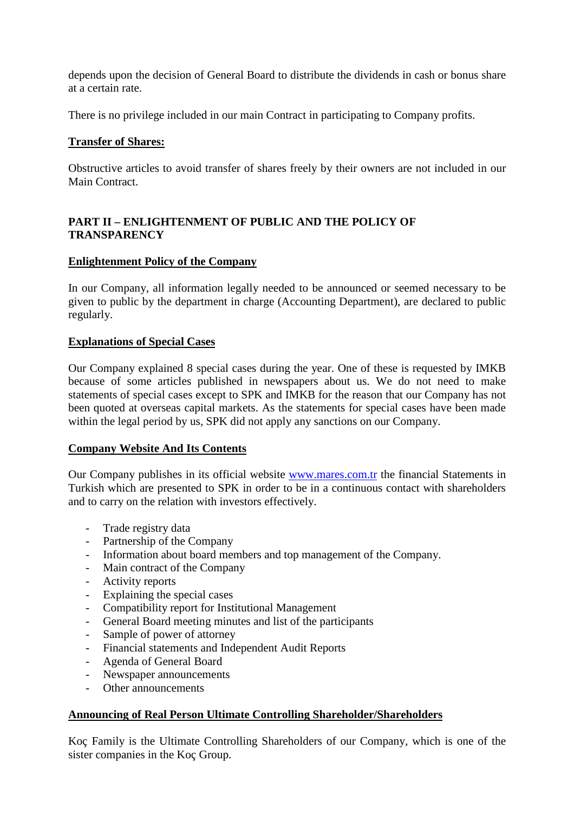depends upon the decision of General Board to distribute the dividends in cash or bonus share at a certain rate.

There is no privilege included in our main Contract in participating to Company profits.

### **Transfer of Shares:**

Obstructive articles to avoid transfer of shares freely by their owners are not included in our Main Contract.

# **PART II – ENLIGHTENMENT OF PUBLIC AND THE POLICY OF TRANSPARENCY**

### **Enlightenment Policy of the Company**

In our Company, all information legally needed to be announced or seemed necessary to be given to public by the department in charge (Accounting Department), are declared to public regularly.

### **Explanations of Special Cases**

Our Company explained 8 special cases during the year. One of these is requested by IMKB because of some articles published in newspapers about us. We do not need to make statements of special cases except to SPK and IMKB for the reason that our Company has not been quoted at overseas capital markets. As the statements for special cases have been made within the legal period by us, SPK did not apply any sanctions on our Company.

### **Company Website And Its Contents**

Our Company publishes in its official website www.mares.com.tr the financial Statements in Turkish which are presented to SPK in order to be in a continuous contact with shareholders and to carry on the relation with investors effectively.

- Trade registry data
- Partnership of the Company
- Information about board members and top management of the Company.
- Main contract of the Company
- Activity reports
- Explaining the special cases
- Compatibility report for Institutional Management
- General Board meeting minutes and list of the participants
- Sample of power of attorney
- Financial statements and Independent Audit Reports
- Agenda of General Board
- Newspaper announcements
- Other announcements

# **Announcing of Real Person Ultimate Controlling Shareholder/Shareholders**

Koç Family is the Ultimate Controlling Shareholders of our Company, which is one of the sister companies in the Koç Group.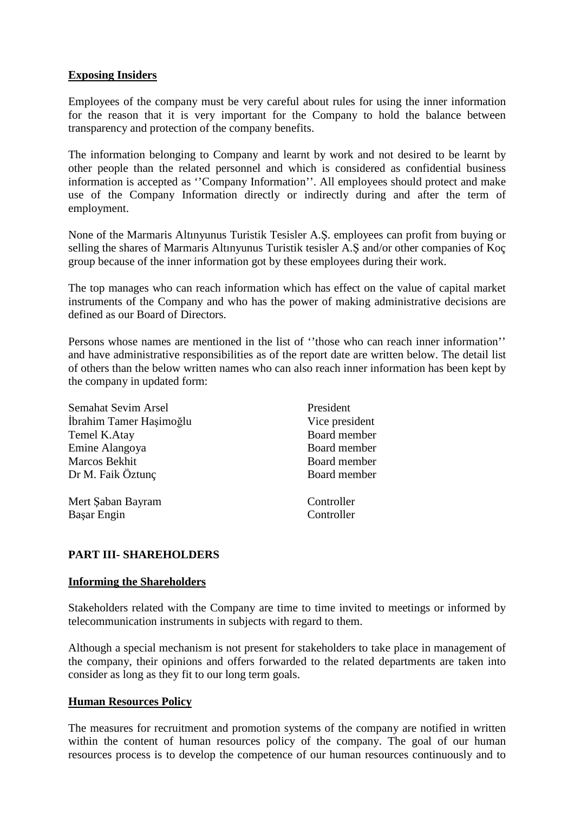### **Exposing Insiders**

Employees of the company must be very careful about rules for using the inner information for the reason that it is very important for the Company to hold the balance between transparency and protection of the company benefits.

The information belonging to Company and learnt by work and not desired to be learnt by other people than the related personnel and which is considered as confidential business information is accepted as ''Company Information''. All employees should protect and make use of the Company Information directly or indirectly during and after the term of employment.

None of the Marmaris Altınyunus Turistik Tesisler A.Ş. employees can profit from buying or selling the shares of Marmaris Altınyunus Turistik tesisler A.Ş and/or other companies of Koç group because of the inner information got by these employees during their work.

The top manages who can reach information which has effect on the value of capital market instruments of the Company and who has the power of making administrative decisions are defined as our Board of Directors.

Persons whose names are mentioned in the list of ''those who can reach inner information'' and have administrative responsibilities as of the report date are written below. The detail list of others than the below written names who can also reach inner information has been kept by the company in updated form:

| President      |
|----------------|
| Vice president |
| Board member   |
| Board member   |
| Board member   |
| Board member   |
|                |
| Controller     |
| Controller     |
|                |

# **PART III- SHAREHOLDERS**

### **Informing the Shareholders**

Stakeholders related with the Company are time to time invited to meetings or informed by telecommunication instruments in subjects with regard to them.

Although a special mechanism is not present for stakeholders to take place in management of the company, their opinions and offers forwarded to the related departments are taken into consider as long as they fit to our long term goals.

### **Human Resources Policy**

The measures for recruitment and promotion systems of the company are notified in written within the content of human resources policy of the company. The goal of our human resources process is to develop the competence of our human resources continuously and to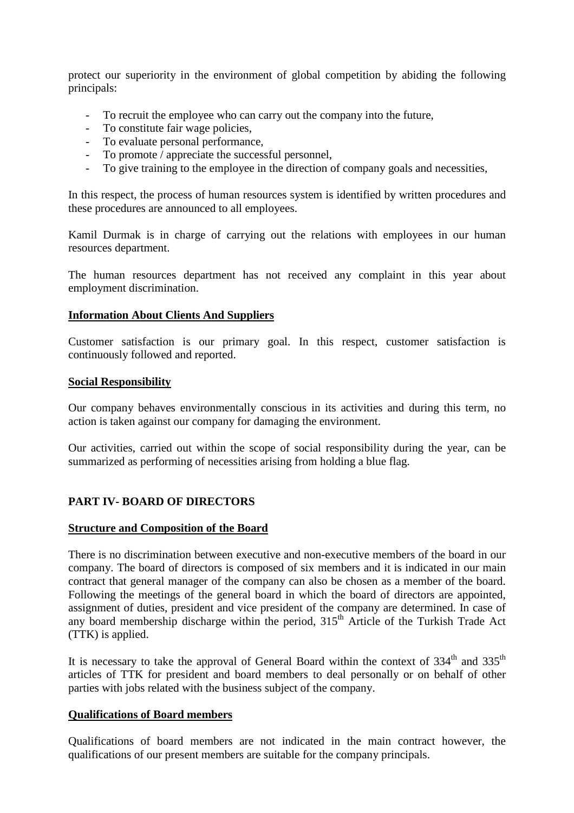protect our superiority in the environment of global competition by abiding the following principals:

- To recruit the employee who can carry out the company into the future,
- To constitute fair wage policies,
- To evaluate personal performance,
- To promote / appreciate the successful personnel,
- To give training to the employee in the direction of company goals and necessities,

In this respect, the process of human resources system is identified by written procedures and these procedures are announced to all employees.

Kamil Durmak is in charge of carrying out the relations with employees in our human resources department.

The human resources department has not received any complaint in this year about employment discrimination.

### **Information About Clients And Suppliers**

Customer satisfaction is our primary goal. In this respect, customer satisfaction is continuously followed and reported.

#### **Social Responsibility**

Our company behaves environmentally conscious in its activities and during this term, no action is taken against our company for damaging the environment.

Our activities, carried out within the scope of social responsibility during the year, can be summarized as performing of necessities arising from holding a blue flag.

### **PART IV- BOARD OF DIRECTORS**

### **Structure and Composition of the Board**

There is no discrimination between executive and non-executive members of the board in our company. The board of directors is composed of six members and it is indicated in our main contract that general manager of the company can also be chosen as a member of the board. Following the meetings of the general board in which the board of directors are appointed, assignment of duties, president and vice president of the company are determined. In case of any board membership discharge within the period,  $315<sup>th</sup>$  Article of the Turkish Trade Act (TTK) is applied.

It is necessary to take the approval of General Board within the context of  $334<sup>th</sup>$  and  $335<sup>th</sup>$ articles of TTK for president and board members to deal personally or on behalf of other parties with jobs related with the business subject of the company.

### **Qualifications of Board members**

Qualifications of board members are not indicated in the main contract however, the qualifications of our present members are suitable for the company principals.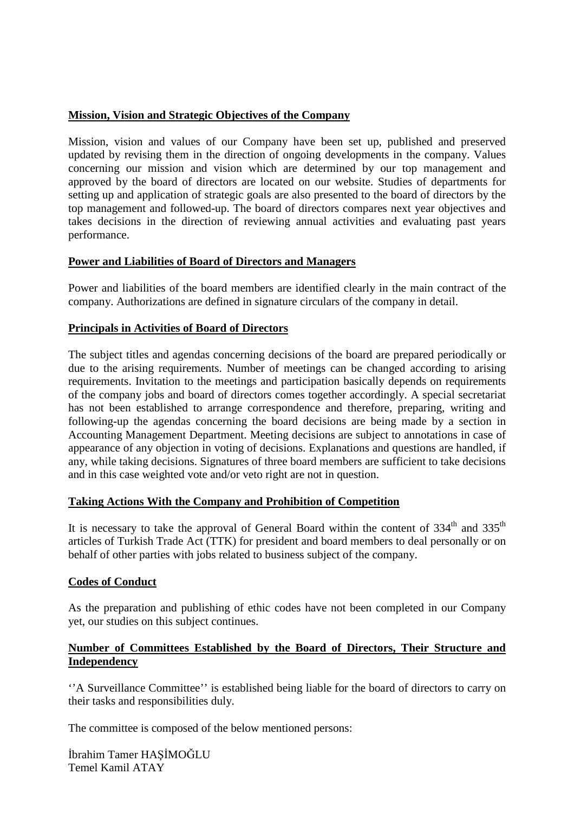# **Mission, Vision and Strategic Objectives of the Company**

Mission, vision and values of our Company have been set up, published and preserved updated by revising them in the direction of ongoing developments in the company. Values concerning our mission and vision which are determined by our top management and approved by the board of directors are located on our website. Studies of departments for setting up and application of strategic goals are also presented to the board of directors by the top management and followed-up. The board of directors compares next year objectives and takes decisions in the direction of reviewing annual activities and evaluating past years performance.

### **Power and Liabilities of Board of Directors and Managers**

Power and liabilities of the board members are identified clearly in the main contract of the company. Authorizations are defined in signature circulars of the company in detail.

### **Principals in Activities of Board of Directors**

The subject titles and agendas concerning decisions of the board are prepared periodically or due to the arising requirements. Number of meetings can be changed according to arising requirements. Invitation to the meetings and participation basically depends on requirements of the company jobs and board of directors comes together accordingly. A special secretariat has not been established to arrange correspondence and therefore, preparing, writing and following-up the agendas concerning the board decisions are being made by a section in Accounting Management Department. Meeting decisions are subject to annotations in case of appearance of any objection in voting of decisions. Explanations and questions are handled, if any, while taking decisions. Signatures of three board members are sufficient to take decisions and in this case weighted vote and/or veto right are not in question.

### **Taking Actions With the Company and Prohibition of Competition**

It is necessary to take the approval of General Board within the content of  $334<sup>th</sup>$  and  $335<sup>th</sup>$ articles of Turkish Trade Act (TTK) for president and board members to deal personally or on behalf of other parties with jobs related to business subject of the company.

### **Codes of Conduct**

As the preparation and publishing of ethic codes have not been completed in our Company yet, our studies on this subject continues.

### **Number of Committees Established by the Board of Directors, Their Structure and Independency**

''A Surveillance Committee'' is established being liable for the board of directors to carry on their tasks and responsibilities duly.

The committee is composed of the below mentioned persons: